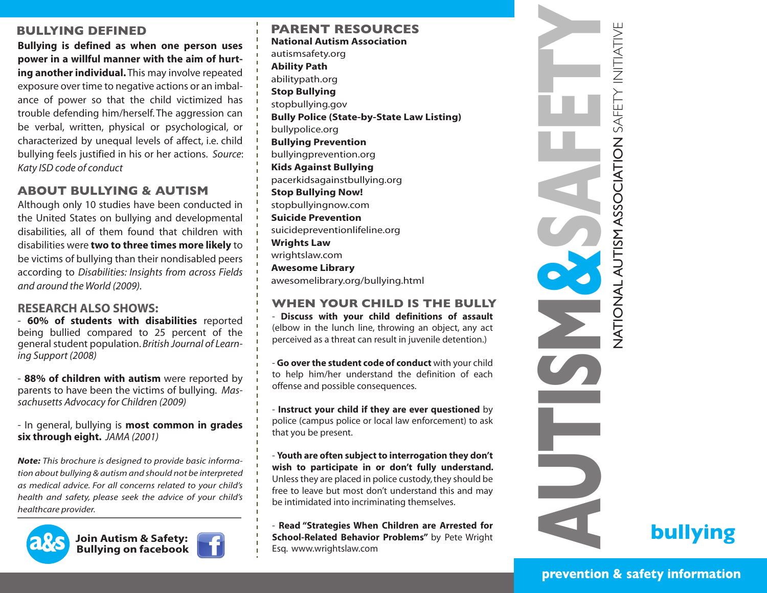## **BULLYING DEFINED**

**Bullying is defined as when one person uses power in a willful manner with the aim of hurting another individual.** This may involve repeated exposure over time to negative actions or an imbalance of power so that the child victimized has trouble defending him/herself. The aggression can be verbal, written, physical or psychological, or characterized by unequal levels of affect, i.e. child bullying feels justified in his or her actions. *Source*: *Katy ISD code of conduct*

# **ABOUT BULLYING & AUTISM**

Although only 10 studies have been conducted in the United States on bullying and developmental disabilities, all of them found that children with disabilities were **two to three times more likely** to be victims of bullying than their nondisabled peers according to *Disabilities: Insights from across Fields and around the World (2009).*

#### **RESEARCH ALSO SHOWS:**

- **60% of students with disabilities** reported being bullied compared to 25 percent of the general student population. *British Journal of Learning Support (2008)*

- **88% of children with autism** were reported by parents to have been the victims of bullying. *Massachusetts Advocacy for Children (2009)*

- In general, bullying is **most common in grades six through eight.** *JAMA (2001)*

*Note: This brochure is designed to provide basic information about bullying & autism and should not be interpreted as medical advice. For all concerns related to your child's health and safety, please seek the advice of your child's healthcare provider.* 







#### **PARENT RESOURCES National Autism Association**

autismsafety.org **Ability Path** abilitypath.org **Stop Bullying** stopbullying.gov **Bully Police (State-by-State Law Listing)** bullypolice.org **Bullying Prevention** bullyingprevention.org **Kids Against Bullying** pacerkidsagainstbullying.org **Stop Bullying Now!** stopbullyingnow.com **Suicide Prevention** suicidepreventionlifeline.org **Wrights Law** wrightslaw.com **Awesome Library** awesomelibrary.org/bullying.html

#### **WHEN YOUR CHILD IS THE BULLY**

- **Discuss with your child definitions of assault**  (elbow in the lunch line, throwing an object, any act perceived as a threat can result in juvenile detention.)

- **Go over the student code of conduct** with your child to help him/her understand the definition of each offense and possible consequences.

- **Instruct your child if they are ever questioned** by police (campus police or local law enforcement) to ask that you be present.

- **Youth are often subject to interrogation they don't wish to participate in or don't fully understand.**  Unless they are placed in police custody, they should be free to leave but most don't understand this and may be intimidated into incriminating themselves.

- **Read "Strategies When Children are Arrested for School-Related Behavior Problems"** by Pete Wright Esq. www.wrightslaw.com



**bullying**